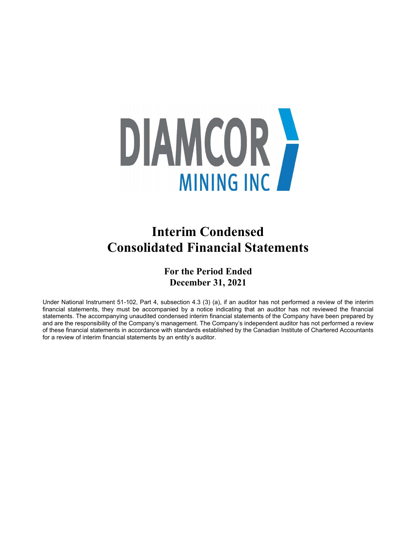

# **Interim Condensed Consolidated Financial Statements**

## **For the Period Ended December 31, 2021**

Under National Instrument 51-102, Part 4, subsection 4.3 (3) (a), if an auditor has not performed a review of the interim financial statements, they must be accompanied by a notice indicating that an auditor has not reviewed the financial statements. The accompanying unaudited condensed interim financial statements of the Company have been prepared by and are the responsibility of the Company's management. The Company's independent auditor has not performed a review of these financial statements in accordance with standards established by the Canadian Institute of Chartered Accountants for a review of interim financial statements by an entity's auditor.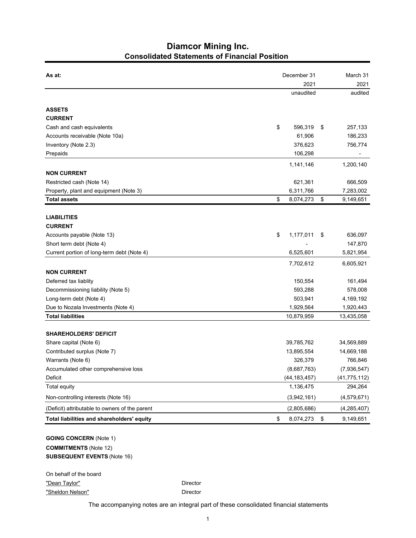### **Diamcor Mining Inc. Consolidated Statements of Financial Position**

| As at:                                         |    | December 31<br>2021 |    |                |  |  |  |
|------------------------------------------------|----|---------------------|----|----------------|--|--|--|
|                                                |    |                     |    |                |  |  |  |
|                                                |    | unaudited           |    | audited        |  |  |  |
| <b>ASSETS</b>                                  |    |                     |    |                |  |  |  |
| <b>CURRENT</b>                                 |    |                     |    |                |  |  |  |
| Cash and cash equivalents                      | \$ | 596,319             | \$ | 257,133        |  |  |  |
| Accounts receivable (Note 10a)                 |    | 61,906              |    | 186,233        |  |  |  |
| Inventory (Note 2.3)                           |    | 376,623             |    | 756,774        |  |  |  |
| Prepaids                                       |    | 106,298             |    |                |  |  |  |
|                                                |    | 1,141,146           |    | 1,200,140      |  |  |  |
| <b>NON CURRENT</b>                             |    |                     |    |                |  |  |  |
| Restricted cash (Note 14)                      |    | 621,361             |    | 666,509        |  |  |  |
| Property, plant and equipment (Note 3)         |    | 6,311,766           |    | 7,283,002      |  |  |  |
| <b>Total assets</b>                            | \$ | 8,074,273           | \$ | 9,149,651      |  |  |  |
| <b>LIABILITIES</b>                             |    |                     |    |                |  |  |  |
| <b>CURRENT</b>                                 |    |                     |    |                |  |  |  |
| Accounts payable (Note 13)                     | \$ | 1,177,011           | \$ | 636,097        |  |  |  |
| Short term debt (Note 4)                       |    |                     |    | 147,870        |  |  |  |
| Current portion of long-term debt (Note 4)     |    | 6,525,601           |    | 5,821,954      |  |  |  |
|                                                |    | 7,702,612           |    | 6,605,921      |  |  |  |
| <b>NON CURRENT</b>                             |    |                     |    |                |  |  |  |
| Deferred tax liablity                          |    | 150,554             |    | 161,494        |  |  |  |
| Decommissioning liability (Note 5)             |    | 593,288             |    | 578,008        |  |  |  |
| Long-term debt (Note 4)                        |    | 503,941             |    | 4,169,192      |  |  |  |
| Due to Nozala Investments (Note 4)             |    | 1,929,564           |    | 1,920,443      |  |  |  |
| <b>Total liabilities</b>                       |    | 10,879,959          |    | 13,435,058     |  |  |  |
| <b>SHAREHOLDERS' DEFICIT</b>                   |    |                     |    |                |  |  |  |
| Share capital (Note 6)                         |    | 39,785,762          |    | 34,569,889     |  |  |  |
| Contributed surplus (Note 7)                   |    | 13,895,554          |    | 14,669,188     |  |  |  |
| Warrants (Note 6)                              |    | 326,379             |    | 766,846        |  |  |  |
| Accumulated other comprehensive loss           |    | (8,687,763)         |    | (7,936,547)    |  |  |  |
| Deficit                                        |    | (44, 183, 457)      |    | (41, 775, 112) |  |  |  |
| <b>Total equity</b>                            |    | 1,136,475           |    | 294,264        |  |  |  |
| Non-controlling interests (Note 16)            |    | (3,942,161)         |    | (4,579,671)    |  |  |  |
| (Deficit) attributable to owners of the parent |    | (2,805,686)         |    | (4, 285, 407)  |  |  |  |
| Total liabilities and shareholders' equity     | \$ | 8,074,273           | \$ | 9,149,651      |  |  |  |
| <b>GOING CONCERN (Note 1)</b>                  |    |                     |    |                |  |  |  |

**COMMITMENTS** (Note 12) **SUBSEQUENT EVENTS** (Note 16)

On behalf of the board "Dean Taylor" **Director** Director "Sheldon Nelson" Director

The accompanying notes are an integral part of these consolidated financial statements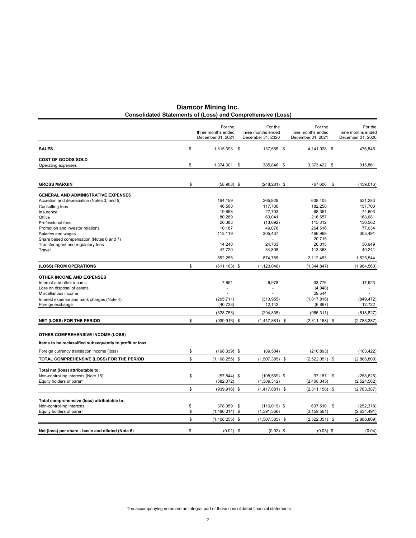| Diamcor Mining Inc.                                               |  |  |
|-------------------------------------------------------------------|--|--|
| <b>Consolidated Statements of (Loss) and Comprehensive (Loss)</b> |  |  |

|                                                                          | For the<br>three months ended<br>December 31, 2021 | For the<br>three months ended<br>December 31, 2020 | For the<br>nine months ended<br>December 31, 2021 | For the<br>nine months ended<br>December 31, 2020 |
|--------------------------------------------------------------------------|----------------------------------------------------|----------------------------------------------------|---------------------------------------------------|---------------------------------------------------|
| <b>SALES</b>                                                             | \$<br>1,315,393 \$                                 | 137,565 \$                                         | 4,141,028 \$                                      | 476,845                                           |
| <b>COST OF GOODS SOLD</b>                                                |                                                    |                                                    |                                                   |                                                   |
| Operating expenses                                                       | \$<br>1,374,301                                    | \$<br>385,846 \$                                   | 3,373,422 \$                                      | 915,861                                           |
| <b>GROSS MARGIN</b>                                                      | \$<br>$(58,908)$ \$                                | $(248, 281)$ \$                                    | 767,606                                           | \$<br>(439, 016)                                  |
| <b>GENERAL AND ADMINISTRATIVE EXPENSES</b>                               |                                                    |                                                    |                                                   |                                                   |
| Accretion and depreciation (Notes 3, and 5)                              | 194,159                                            | 265,929                                            | 638,405                                           | 531,283                                           |
| Consulting fees                                                          | 46,500                                             | 117,700                                            | 182,250                                           | 157,700                                           |
| Insurance                                                                | 19,658                                             | 27,703                                             | 68,351                                            | 74,603                                            |
| Office                                                                   | 80,289                                             | 63,041                                             | 216,557                                           | 168,681                                           |
| Professional fees<br>Promotion and investor relations                    | 26,383<br>10,187                                   | (13, 692)<br>49,076                                | 115,312<br>264,516                                | 130,562<br>77,034                                 |
| Salaries and wages                                                       | 113,119                                            | 305,437                                            | 466,969                                           | 305,491                                           |
| Share based compensation (Notes 6 and 7)                                 |                                                    |                                                    | 20,715                                            |                                                   |
| Transfer agent and regulatory fees                                       | 14,240                                             | 24,763                                             | 26,015                                            | 30,949                                            |
| Travel                                                                   | 47,720                                             | 34,808                                             | 113,363                                           | 49,241                                            |
|                                                                          | 552,255                                            | 874,765                                            | 2,112,453                                         | 1,525,544                                         |
| (LOSS) FROM OPERATIONS                                                   | \$<br>$(611, 163)$ \$                              | (1, 123, 046)                                      | (1, 344, 847)                                     | (1,964,560)                                       |
| <b>OTHER INCOME AND EXPENSES</b>                                         |                                                    |                                                    |                                                   |                                                   |
| Interest and other income                                                | 7,691                                              | 6,978                                              | 33,776                                            | 17,923                                            |
| Loss on disposal of assets                                               |                                                    |                                                    | (4,948)                                           |                                                   |
| Miscellanous income                                                      |                                                    |                                                    | 29,544                                            |                                                   |
| Interest expense and bank charges (Note 4)                               | (295, 711)                                         | (313, 955)                                         | (1,017,816)                                       | (849, 472)                                        |
| Foreign exchange                                                         | (40, 733)                                          | 12,142                                             | (6, 867)                                          | 12,722                                            |
|                                                                          | (328, 753)                                         | (294, 835)                                         | (966, 311)                                        | (818, 827)                                        |
| <b>NET (LOSS) FOR THE PERIOD</b>                                         | \$<br>$(939, 916)$ \$                              | $(1,417,881)$ \$                                   | $(2,311,158)$ \$                                  | (2,783,387)                                       |
| <b>OTHER COMPREHENSIVE INCOME (LOSS)</b>                                 |                                                    |                                                    |                                                   |                                                   |
| Items to be reclassified subsequently to profit or loss                  |                                                    |                                                    |                                                   |                                                   |
| Foreign currency translation income (loss)                               | \$<br>$(168, 339)$ \$                              | (89, 504)                                          | (210, 893)                                        | (103, 422)                                        |
| TOTAL COMPREHENSIVE (LOSS) FOR THE PERIOD                                | \$<br>$(1, 108, 255)$ \$                           | $(1,507,385)$ \$                                   | $(2,522,051)$ \$                                  | (2,886,809)                                       |
| Total net (loss) attributable to:                                        |                                                    |                                                    |                                                   |                                                   |
| Non-controlling interests (Note 15)                                      | \$<br>$(57, 844)$ \$                               | $(108, 569)$ \$                                    | 97,187 \$                                         | (258, 825)                                        |
| Equity holders of parent                                                 | (882, 072)                                         | (1,309,312)                                        | (2,408,345)                                       | (2,524,562)                                       |
|                                                                          | \$<br>$(939, 916)$ \$                              | $(1,417,881)$ \$                                   | $(2,311,158)$ \$                                  | (2,783,387)                                       |
|                                                                          |                                                    |                                                    |                                                   |                                                   |
| Total comprehensive (loss) attributable to:<br>Non-controlling interests | \$<br>378,059                                      | \$<br>$(116,019)$ \$                               | 637,510 \$                                        | (252, 318)                                        |
| Equity holders of parent                                                 | \$<br>$(1,486,314)$ \$                             | (1, 391, 366)                                      | (3, 159, 561)                                     | (2,634,491)                                       |
|                                                                          | \$<br>$(1, 108, 255)$ \$                           | $(1,507,385)$ \$                                   | $(2,522,051)$ \$                                  | (2,886,809)                                       |
|                                                                          |                                                    |                                                    |                                                   |                                                   |
| Net (loss) per share - basic and diluted (Note 6)                        | \$<br>$(0.01)$ \$                                  | $(0.02)$ \$                                        | $(0.03)$ \$                                       | (0.04)                                            |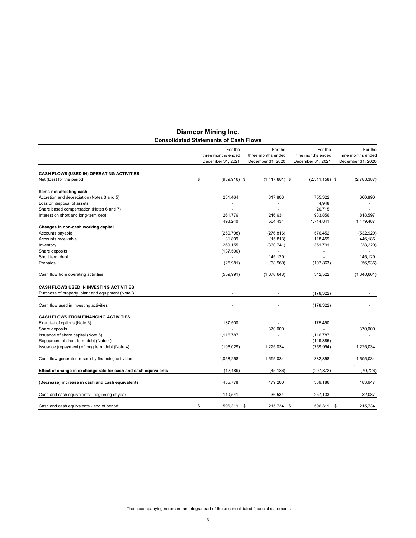|                                                                 | For the<br>three months ended<br>December 31, 2021 | For the<br>three months ended<br>December 31, 2020 | For the<br>nine months ended<br>December 31, 2021 | For the<br>nine months ended<br>December 31, 2020 |
|-----------------------------------------------------------------|----------------------------------------------------|----------------------------------------------------|---------------------------------------------------|---------------------------------------------------|
| CASH FLOWS (USED IN) OPERATING ACTIVITIES                       |                                                    |                                                    |                                                   |                                                   |
| Net (loss) for the period                                       | \$<br>$(939, 916)$ \$                              | $(1,417,881)$ \$                                   | $(2,311,158)$ \$                                  | (2,783,387)                                       |
| Items not affecting cash                                        |                                                    |                                                    |                                                   |                                                   |
| Accretion and depreciation (Notes 3 and 5)                      | 231,464                                            | 317,803                                            | 755,322                                           | 660,890                                           |
| Loss on disposal of assets                                      |                                                    |                                                    | 4,948                                             |                                                   |
| Share based compensation (Notes 6 and 7)                        |                                                    | ÷                                                  | 20,715                                            |                                                   |
| Interest on short and long-term debt                            | 261,776                                            | 246,631                                            | 933,856                                           | 818,597                                           |
|                                                                 | 493,240                                            | 564,434                                            | 1,714,841                                         | 1,479,487                                         |
| Changes in non-cash working capital                             |                                                    |                                                    |                                                   |                                                   |
| Accounts payable                                                | (250, 798)                                         | (276, 816)                                         | 576,452                                           | (532, 920)                                        |
| Accounts receivable                                             | 31,809                                             | (15, 813)                                          | 118,459                                           | 446,186                                           |
| Inventory                                                       | 269,155                                            | (330, 741)                                         | 351,791                                           | (38, 220)                                         |
| Share deposits                                                  | (137,500)                                          | ÷.                                                 | $\overline{\phantom{a}}$                          | $\blacksquare$                                    |
| Short term debt                                                 | ٠                                                  | 145,129                                            |                                                   | 145,129                                           |
| Prepaids                                                        | (25, 981)                                          | (38,960)                                           | (107, 863)                                        | (56, 936)                                         |
| Cash flow from operating activities                             | (559.991)                                          | (1,370,648)                                        | 342,522                                           | (1,340,661)                                       |
| <b>CASH FLOWS USED IN INVESTING ACTIVITIES</b>                  |                                                    |                                                    |                                                   |                                                   |
| Purchase of property, plant and equipment (Note 3               |                                                    |                                                    | (178, 322)                                        |                                                   |
|                                                                 |                                                    |                                                    |                                                   |                                                   |
| Cash flow used in investing activities                          |                                                    |                                                    | (178, 322)                                        |                                                   |
| <b>CASH FLOWS FROM FINANCING ACTIVITIES</b>                     |                                                    |                                                    |                                                   |                                                   |
| Exercise of options (Note 6)                                    | 137,500                                            |                                                    | 175,450                                           |                                                   |
| Share deposits                                                  |                                                    | 370,000                                            | ÷                                                 | 370,000                                           |
| Issuance of share capital (Note 6)                              | 1,116,787                                          | $\ddot{\phantom{1}}$                               | 1,116,787                                         | ٠                                                 |
| Repayment of short term debt (Note 4)                           |                                                    |                                                    | (149, 385)                                        |                                                   |
| Issuance (repayment) of long term debt (Note 4)                 | (196, 029)                                         | 1,225,034                                          | (759, 994)                                        | 1,225,034                                         |
| Cash flow generated (used) by financing activities              | 1,058,258                                          | 1,595,034                                          | 382,858                                           | 1,595,034                                         |
|                                                                 |                                                    |                                                    |                                                   |                                                   |
| Effect of change in exchange rate for cash and cash equivalents | (12, 489)                                          | (45, 186)                                          | (207, 872)                                        | (70, 726)                                         |
| (Decrease) increase in cash and cash equivalents                | 485,778                                            | 179,200                                            | 339,186                                           | 183,647                                           |
| Cash and cash equivalents - beginning of year                   | 110,541                                            | 36,534                                             | 257,133                                           | 32,087                                            |
| Cash and cash equivalents - end of period                       | \$<br>596,319                                      | \$<br>215,734 \$                                   | 596,319 \$                                        | 215,734                                           |

#### **Diamcor Mining Inc. Consolidated Statements of Cash Flows**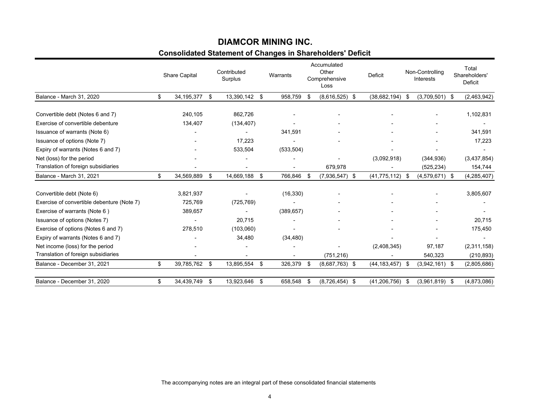### **Consolidated Statement of Changes in Shareholders' Deficit DIAMCOR MINING INC.**

|                                            | <b>Share Capital</b> |     | Contributed<br>Surplus |    | Warrants       | Accumulated<br>Other<br>Comprehensive<br>Loss |                  |                |      | Deficit          | Non-Controlling<br><b>Interests</b> |  | Total<br>Shareholders'<br>Deficit |
|--------------------------------------------|----------------------|-----|------------------------|----|----------------|-----------------------------------------------|------------------|----------------|------|------------------|-------------------------------------|--|-----------------------------------|
| Balance - March 31, 2020                   | \$<br>34,195,377     | -\$ | 13,390,142 \$          |    | 958,759        | -\$                                           | $(8,616,525)$ \$ | (38,682,194)   | - \$ | $(3,709,501)$ \$ | (2,463,942)                         |  |                                   |
| Convertible debt (Notes 6 and 7)           | 240,105              |     | 862,726                |    |                |                                               |                  |                |      |                  | 1,102,831                           |  |                                   |
| Exercise of convertible debenture          | 134,407              |     | (134, 407)             |    |                |                                               |                  |                |      |                  |                                     |  |                                   |
| Issuance of warrants (Note 6)              |                      |     |                        |    | 341,591        |                                               |                  |                |      |                  | 341.591                             |  |                                   |
| Issuance of options (Note 7)               |                      |     | 17,223                 |    |                |                                               |                  |                |      |                  | 17,223                              |  |                                   |
| Expiry of warrants (Notes 6 and 7)         |                      |     | 533,504                |    | (533, 504)     |                                               |                  |                |      |                  |                                     |  |                                   |
| Net (loss) for the period                  |                      |     | ٠                      |    |                |                                               |                  | (3,092,918)    |      | (344, 936)       | (3,437,854)                         |  |                                   |
| Translation of foreign subsidiaries        |                      |     |                        |    |                |                                               | 679,978          |                |      | (525, 234)       | 154,744                             |  |                                   |
| Balance - March 31, 2021                   | \$<br>34,569,889     | \$  | 14,669,188             | S  | 766,846        | - \$                                          | $(7,936,547)$ \$ | (41, 775, 112) | - \$ | $(4,579,671)$ \$ | (4, 285, 407)                       |  |                                   |
| Convertible debt (Note 6)                  | 3,821,937            |     |                        |    | (16, 330)      |                                               |                  |                |      |                  | 3,805,607                           |  |                                   |
| Exercise of convertible debenture (Note 7) | 725,769              |     | (725, 769)             |    |                |                                               |                  |                |      |                  |                                     |  |                                   |
| Exercise of warrants (Note 6)              | 389,657              |     |                        |    | (389, 657)     |                                               |                  |                |      |                  |                                     |  |                                   |
| Issuance of options (Notes 7)              | $\blacksquare$       |     | 20.715                 |    | $\blacksquare$ |                                               |                  |                |      |                  | 20,715                              |  |                                   |
| Exercise of options (Notes 6 and 7)        | 278,510              |     | (103,060)              |    |                |                                               |                  |                |      |                  | 175,450                             |  |                                   |
| Expiry of warrants (Notes 6 and 7)         |                      |     | 34,480                 |    | (34, 480)      |                                               |                  |                |      |                  |                                     |  |                                   |
| Net income (loss) for the period           |                      |     |                        |    |                |                                               |                  | (2,408,345)    |      | 97,187           | (2,311,158)                         |  |                                   |
| Translation of foreign subsidiaries        |                      |     |                        |    |                |                                               | (751, 216)       |                |      | 540,323          | (210, 893)                          |  |                                   |
| Balance - December 31, 2021                | \$<br>39,785,762     | \$  | 13,895,554             | \$ | 326,379        | \$                                            | $(8,687,763)$ \$ | (44, 183, 457) | - \$ | $(3,942,161)$ \$ | (2,805,686)                         |  |                                   |
| Balance - December 31, 2020                | \$<br>34,439,749     | \$  | 13,923,646             | \$ | 658,548        | -\$                                           | $(8,726,454)$ \$ | (41, 206, 756) | -\$  | $(3,961,819)$ \$ | (4,873,086)                         |  |                                   |

The accompanying notes are an integral part of these consolidated financial statements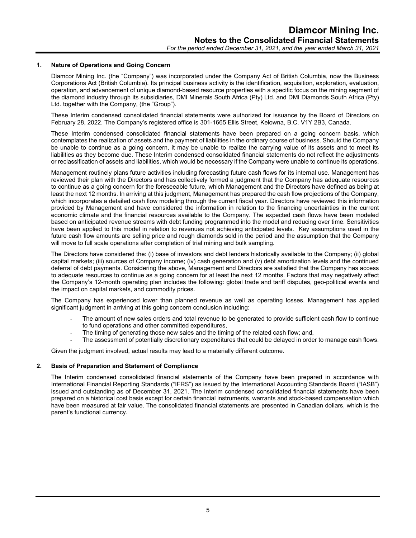#### **1. Nature of Operations and Going Concern**

Diamcor Mining Inc. (the "Company") was incorporated under the Company Act of British Columbia, now the Business Corporations Act (British Columbia). Its principal business activity is the identification, acquisition, exploration, evaluation, operation, and advancement of unique diamond-based resource properties with a specific focus on the mining segment of the diamond industry through its subsidiaries, DMI Minerals South Africa (Pty) Ltd. and DMI Diamonds South Africa (Pty) Ltd. together with the Company, (the "Group").

These Interim condensed consolidated financial statements were authorized for issuance by the Board of Directors on February 28, 2022. The Company's registered office is 301-1665 Ellis Street, Kelowna, B.C. V1Y 2B3, Canada.

These Interim condensed consolidated financial statements have been prepared on a going concern basis, which contemplates the realization of assets and the payment of liabilities in the ordinary course of business. Should the Company be unable to continue as a going concern, it may be unable to realize the carrying value of its assets and to meet its liabilities as they become due. These Interim condensed consolidated financial statements do not reflect the adjustments or reclassification of assets and liabilities, which would be necessary if the Company were unable to continue its operations.

Management routinely plans future activities including forecasting future cash flows for its internal use. Management has reviewed their plan with the Directors and has collectively formed a judgment that the Company has adequate resources to continue as a going concern for the foreseeable future, which Management and the Directors have defined as being at least the next 12 months. In arriving at this judgment, Management has prepared the cash flow projections of the Company, which incorporates a detailed cash flow modeling through the current fiscal year. Directors have reviewed this information provided by Management and have considered the information in relation to the financing uncertainties in the current economic climate and the financial resources available to the Company. The expected cash flows have been modeled based on anticipated revenue streams with debt funding programmed into the model and reducing over time. Sensitivities have been applied to this model in relation to revenues not achieving anticipated levels. Key assumptions used in the future cash flow amounts are selling price and rough diamonds sold in the period and the assumption that the Company will move to full scale operations after completion of trial mining and bulk sampling.

The Directors have considered the: (i) base of investors and debt lenders historically available to the Company; (ii) global capital markets; (iii) sources of Company income; (iv) cash generation and (v) debt amortization levels and the continued deferral of debt payments. Considering the above, Management and Directors are satisfied that the Company has access to adequate resources to continue as a going concern for at least the next 12 months. Factors that may negatively affect the Company's 12-month operating plan includes the following: global trade and tariff disputes, geo-political events and the impact on capital markets, and commodity prices.

The Company has experienced lower than planned revenue as well as operating losses. Management has applied significant judgment in arriving at this going concern conclusion including:

- The amount of new sales orders and total revenue to be generated to provide sufficient cash flow to continue to fund operations and other committed expenditures,
- The timing of generating those new sales and the timing of the related cash flow; and,
- The assessment of potentially discretionary expenditures that could be delayed in order to manage cash flows.

Given the judgment involved, actual results may lead to a materially different outcome.

#### **2. Basis of Preparation and Statement of Compliance**

The Interim condensed consolidated financial statements of the Company have been prepared in accordance with International Financial Reporting Standards ("IFRS") as issued by the International Accounting Standards Board ("IASB") issued and outstanding as of December 31, 2021. The Interim condensed consolidated financial statements have been prepared on a historical cost basis except for certain financial instruments, warrants and stock-based compensation which have been measured at fair value. The consolidated financial statements are presented in Canadian dollars, which is the parent's functional currency.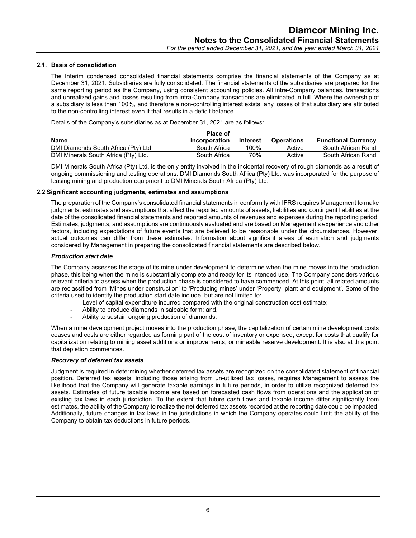#### **2.1. Basis of consolidation**

The Interim condensed consolidated financial statements comprise the financial statements of the Company as at December 31, 2021. Subsidiaries are fully consolidated. The financial statements of the subsidiaries are prepared for the same reporting period as the Company, using consistent accounting policies. All intra-Company balances, transactions and unrealized gains and losses resulting from intra-Company transactions are eliminated in full. Where the ownership of a subsidiary is less than 100%, and therefore a non-controlling interest exists, any losses of that subsidiary are attributed to the non-controlling interest even if that results in a deficit balance.

Details of the Company's subsidiaries as at December 31, 2021 are as follows:

|                                      | <b>Place of</b> |                 |                   |                            |
|--------------------------------------|-----------------|-----------------|-------------------|----------------------------|
| <b>Name</b>                          | Incorporation   | <b>Interest</b> | <b>Operations</b> | <b>Functional Currency</b> |
| DMI Diamonds South Africa (Pty) Ltd. | South Africa    | 100%            | Active            | South African Rand         |
| DMI Minerals South Africa (Pty) Ltd. | South Africa    | 70%             | Active            | South African Rand         |

DMI Minerals South Africa (Pty) Ltd. is the only entity involved in the incidental recovery of rough diamonds as a result of ongoing commissioning and testing operations. DMI Diamonds South Africa (Pty) Ltd. was incorporated for the purpose of leasing mining and production equipment to DMI Minerals South Africa (Pty) Ltd.

#### **2.2 Significant accounting judgments, estimates and assumptions**

The preparation of the Company's consolidated financial statements in conformity with IFRS requires Management to make judgments, estimates and assumptions that affect the reported amounts of assets, liabilities and contingent liabilities at the date of the consolidated financial statements and reported amounts of revenues and expenses during the reporting period. Estimates, judgments, and assumptions are continuously evaluated and are based on Management's experience and other factors, including expectations of future events that are believed to be reasonable under the circumstances. However, actual outcomes can differ from these estimates. Information about significant areas of estimation and judgments considered by Management in preparing the consolidated financial statements are described below.

#### *Production start date*

The Company assesses the stage of its mine under development to determine when the mine moves into the production phase, this being when the mine is substantially complete and ready for its intended use. The Company considers various relevant criteria to assess when the production phase is considered to have commenced. At this point, all related amounts are reclassified from 'Mines under construction' to 'Producing mines' under 'Property, plant and equipment'. Some of the criteria used to identify the production start date include, but are not limited to:

- Level of capital expenditure incurred compared with the original construction cost estimate;
- Ability to produce diamonds in saleable form; and,
- Ability to sustain ongoing production of diamonds.

When a mine development project moves into the production phase, the capitalization of certain mine development costs ceases and costs are either regarded as forming part of the cost of inventory or expensed, except for costs that qualify for capitalization relating to mining asset additions or improvements, or mineable reserve development. It is also at this point that depletion commences.

#### *Recovery of deferred tax assets*

Judgment is required in determining whether deferred tax assets are recognized on the consolidated statement of financial position. Deferred tax assets, including those arising from un-utilized tax losses, requires Management to assess the likelihood that the Company will generate taxable earnings in future periods, in order to utilize recognized deferred tax assets. Estimates of future taxable income are based on forecasted cash flows from operations and the application of existing tax laws in each jurisdiction. To the extent that future cash flows and taxable income differ significantly from estimates, the ability of the Company to realize the net deferred tax assets recorded at the reporting date could be impacted. Additionally, future changes in tax laws in the jurisdictions in which the Company operates could limit the ability of the Company to obtain tax deductions in future periods.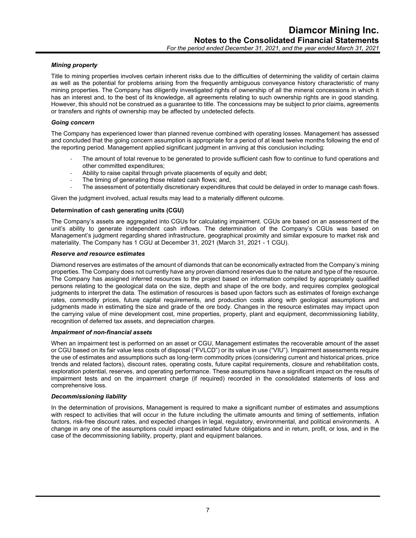#### *Mining property*

Title to mining properties involves certain inherent risks due to the difficulties of determining the validity of certain claims as well as the potential for problems arising from the frequently ambiguous conveyance history characteristic of many mining properties. The Company has diligently investigated rights of ownership of all the mineral concessions in which it has an interest and, to the best of its knowledge, all agreements relating to such ownership rights are in good standing. However, this should not be construed as a guarantee to title. The concessions may be subject to prior claims, agreements or transfers and rights of ownership may be affected by undetected defects.

#### *Going concern*

The Company has experienced lower than planned revenue combined with operating losses. Management has assessed and concluded that the going concern assumption is appropriate for a period of at least twelve months following the end of the reporting period. Management applied significant judgment in arriving at this conclusion including:

- The amount of total revenue to be generated to provide sufficient cash flow to continue to fund operations and other committed expenditures;
- Ability to raise capital through private placements of equity and debt;
- The timing of generating those related cash flows; and,
- The assessment of potentially discretionary expenditures that could be delayed in order to manage cash flows.

Given the judgment involved, actual results may lead to a materially different outcome.

#### **Determination of cash generating units (CGU)**

The Company's assets are aggregated into CGUs for calculating impairment. CGUs are based on an assessment of the unit's ability to generate independent cash inflows. The determination of the Company's CGUs was based on Management's judgment regarding shared infrastructure, geographical proximity and similar exposure to market risk and materiality. The Company has 1 CGU at December 31, 2021 (March 31, 2021 - 1 CGU).

#### *Reserve and resource estimates*

Diamond reserves are estimates of the amount of diamonds that can be economically extracted from the Company's mining properties. The Company does not currently have any proven diamond reserves due to the nature and type of the resource. The Company has assigned inferred resources to the project based on information compiled by appropriately qualified persons relating to the geological data on the size, depth and shape of the ore body, and requires complex geological judgments to interpret the data. The estimation of resources is based upon factors such as estimates of foreign exchange rates, commodity prices, future capital requirements, and production costs along with geological assumptions and judgments made in estimating the size and grade of the ore body. Changes in the resource estimates may impact upon the carrying value of mine development cost, mine properties, property, plant and equipment, decommissioning liability, recognition of deferred tax assets, and depreciation charges.

#### *Impairment of non-financial assets*

When an impairment test is performed on an asset or CGU, Management estimates the recoverable amount of the asset or CGU based on its fair value less costs of disposal ("FVLCD") or its value in use ("VIU"). Impairment assessments require the use of estimates and assumptions such as long-term commodity prices (considering current and historical prices, price trends and related factors), discount rates, operating costs, future capital requirements, closure and rehabilitation costs, exploration potential, reserves, and operating performance. These assumptions have a significant impact on the results of impairment tests and on the impairment charge (if required) recorded in the consolidated statements of loss and comprehensive loss.

#### *Decommissioning liability*

In the determination of provisions, Management is required to make a significant number of estimates and assumptions with respect to activities that will occur in the future including the ultimate amounts and timing of settlements, inflation factors, risk-free discount rates, and expected changes in legal, regulatory, environmental, and political environments. A change in any one of the assumptions could impact estimated future obligations and in return, profit, or loss, and in the case of the decommissioning liability, property, plant and equipment balances.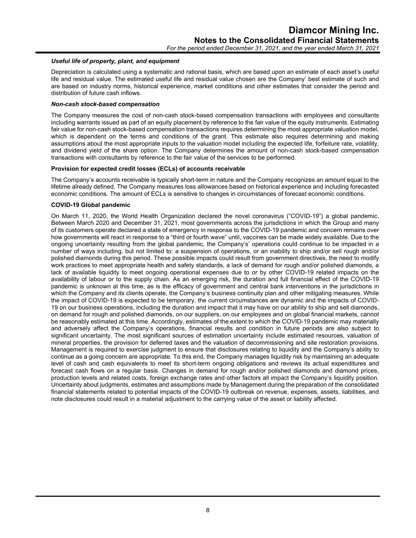#### *Useful life of property, plant, and equipment*

Depreciation is calculated using a systematic and rational basis, which are based upon an estimate of each asset's useful life and residual value. The estimated useful life and residual value chosen are the Company' best estimate of such and are based on industry norms, historical experience, market conditions and other estimates that consider the period and distribution of future cash inflows.

#### *Non-cash stock-based compensation*

The Company measures the cost of non-cash stock-based compensation transactions with employees and consultants including warrants issued as part of an equity placement by reference to the fair value of the equity instruments. Estimating fair value for non-cash stock-based compensation transactions requires determining the most appropriate valuation model, which is dependent on the terms and conditions of the grant. This estimate also requires determining and making assumptions about the most appropriate inputs to the valuation model including the expected life, forfeiture rate, volatility, and dividend yield of the share option. The Company determines the amount of non-cash stock-based compensation transactions with consultants by reference to the fair value of the services to be performed.

#### **Provision for expected credit losses (ECLs) of accounts receivable**

The Company's accounts receivable is typically short-term in nature and the Company recognizes an amount equal to the lifetime already defined. The Company measures loss allowances based on historical experience and including forecasted economic conditions. The amount of ECLs is sensitive to changes in circumstances of forecast economic conditions.

#### **COVID-19 Global pandemic**

On March 11, 2020, the World Health Organization declared the novel coronavirus ("COVID-19") a global pandemic. Between March 2020 and December 31, 2021, most governments across the jurisdictions in which the Group and many of its customers operate declared a state of emergency in response to the COVID-19 pandemic and concern remains over how governments will react in response to a "third or fourth wave" until, vaccines can be made widely available. Due to the ongoing uncertainty resulting from the global pandemic, the Company's' operations could continue to be impacted in a number of ways including, but not limited to: a suspension of operations, or an inability to ship and/or sell rough and/or polished diamonds during this period. These possible impacts could result from government directives, the need to modify work practices to meet appropriate health and safety standards, a lack of demand for rough and/or polished diamonds, a lack of available liquidity to meet ongoing operational expenses due to or by other COVID-19 related impacts on the availability of labour or to the supply chain. As an emerging risk, the duration and full financial effect of the COVID-19 pandemic is unknown at this time, as is the efficacy of government and central bank interventions in the jurisdictions in which the Company and its clients operate, the Company's business continuity plan and other mitigating measures. While the impact of COVID-19 is expected to be temporary, the current circumstances are dynamic and the impacts of COVID-19 on our business operations, including the duration and impact that it may have on our ability to ship and sell diamonds, on demand for rough and polished diamonds, on our suppliers, on our employees and on global financial markets, cannot be reasonably estimated at this time. Accordingly, estimates of the extent to which the COVID-19 pandemic may materially and adversely affect the Company's operations, financial results and condition in future periods are also subject to significant uncertainty. The most significant sources of estimation uncertainty include estimated resources, valuation of mineral properties, the provision for deferred taxes and the valuation of decommissioning and site restoration provisions. Management is required to exercise judgment to ensure that disclosures relating to liquidity and the Company's ability to continue as a going concern are appropriate. To this end, the Company manages liquidity risk by maintaining an adequate level of cash and cash equivalents to meet its short-term ongoing obligations and reviews its actual expenditures and forecast cash flows on a regular basis. Changes in demand for rough and/or polished diamonds and diamond prices, production levels and related costs, foreign exchange rates and other factors all impact the Company's liquidity position. Uncertainty about judgments, estimates and assumptions made by Management during the preparation of the consolidated financial statements related to potential impacts of the COVID-19 outbreak on revenue, expenses, assets, liabilities, and note disclosures could result in a material adjustment to the carrying value of the asset or liability affected.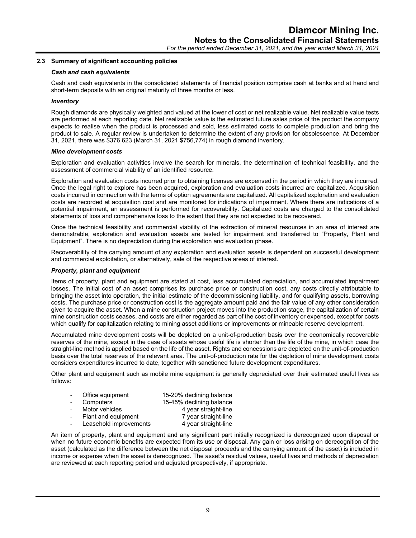#### **2.3 Summary of significant accounting policies**

#### *Cash and cash equivalents*

Cash and cash equivalents in the consolidated statements of financial position comprise cash at banks and at hand and short-term deposits with an original maturity of three months or less.

#### *Inventory*

Rough diamonds are physically weighted and valued at the lower of cost or net realizable value. Net realizable value tests are performed at each reporting date. Net realizable value is the estimated future sales price of the product the company expects to realise when the product is processed and sold, less estimated costs to complete production and bring the product to sale. A regular review is undertaken to determine the extent of any provision for obsolescence. At December 31, 2021, there was \$376,623 (March 31, 2021 \$756,774) in rough diamond inventory.

#### *Mine development costs*

Exploration and evaluation activities involve the search for minerals, the determination of technical feasibility, and the assessment of commercial viability of an identified resource.

Exploration and evaluation costs incurred prior to obtaining licenses are expensed in the period in which they are incurred. Once the legal right to explore has been acquired, exploration and evaluation costs incurred are capitalized. Acquisition costs incurred in connection with the terms of option agreements are capitalized. All capitalized exploration and evaluation costs are recorded at acquisition cost and are monitored for indications of impairment. Where there are indications of a potential impairment, an assessment is performed for recoverability. Capitalized costs are charged to the consolidated statements of loss and comprehensive loss to the extent that they are not expected to be recovered.

Once the technical feasibility and commercial viability of the extraction of mineral resources in an area of interest are demonstrable, exploration and evaluation assets are tested for impairment and transferred to "Property, Plant and Equipment". There is no depreciation during the exploration and evaluation phase.

Recoverability of the carrying amount of any exploration and evaluation assets is dependent on successful development and commercial exploitation, or alternatively, sale of the respective areas of interest.

#### *Property, plant and equipment*

Items of property, plant and equipment are stated at cost, less accumulated depreciation, and accumulated impairment losses. The initial cost of an asset comprises its purchase price or construction cost, any costs directly attributable to bringing the asset into operation, the initial estimate of the decommissioning liability, and for qualifying assets, borrowing costs. The purchase price or construction cost is the aggregate amount paid and the fair value of any other consideration given to acquire the asset. When a mine construction project moves into the production stage, the capitalization of certain mine construction costs ceases, and costs are either regarded as part of the cost of inventory or expensed, except for costs which qualify for capitalization relating to mining asset additions or improvements or mineable reserve development.

Accumulated mine development costs will be depleted on a unit-of-production basis over the economically recoverable reserves of the mine, except in the case of assets whose useful life is shorter than the life of the mine, in which case the straight-line method is applied based on the life of the asset. Rights and concessions are depleted on the unit-of-production basis over the total reserves of the relevant area. The unit-of-production rate for the depletion of mine development costs considers expenditures incurred to date, together with sanctioned future development expenditures.

Other plant and equipment such as mobile mine equipment is generally depreciated over their estimated useful lives as follows:

| $\mathcal{L}_{\mathcal{A}}$ | Office equipment       | 15-20% declining balance |
|-----------------------------|------------------------|--------------------------|
|                             | Computers              | 15-45% declining balance |
|                             | Motor vehicles         | 4 year straight-line     |
|                             | Plant and equipment    | 7 year straight-line     |
|                             | Leasehold improvements | 4 year straight-line     |

An item of property, plant and equipment and any significant part initially recognized is derecognized upon disposal or when no future economic benefits are expected from its use or disposal. Any gain or loss arising on derecognition of the asset (calculated as the difference between the net disposal proceeds and the carrying amount of the asset) is included in income or expense when the asset is derecognized. The asset's residual values, useful lives and methods of depreciation are reviewed at each reporting period and adjusted prospectively, if appropriate.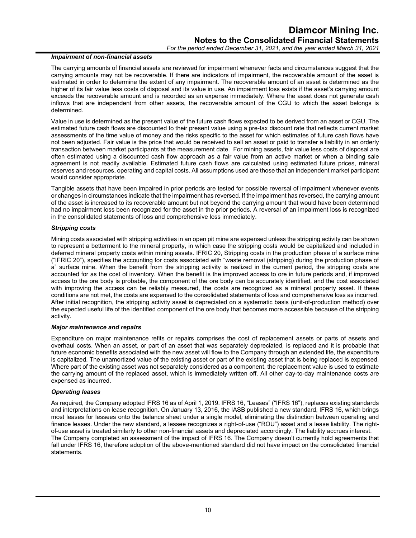#### *Impairment of non-financial assets*

The carrying amounts of financial assets are reviewed for impairment whenever facts and circumstances suggest that the carrying amounts may not be recoverable. If there are indicators of impairment, the recoverable amount of the asset is estimated in order to determine the extent of any impairment. The recoverable amount of an asset is determined as the higher of its fair value less costs of disposal and its value in use. An impairment loss exists if the asset's carrying amount exceeds the recoverable amount and is recorded as an expense immediately. Where the asset does not generate cash inflows that are independent from other assets, the recoverable amount of the CGU to which the asset belongs is determined.

Value in use is determined as the present value of the future cash flows expected to be derived from an asset or CGU. The estimated future cash flows are discounted to their present value using a pre-tax discount rate that reflects current market assessments of the time value of money and the risks specific to the asset for which estimates of future cash flows have not been adjusted. Fair value is the price that would be received to sell an asset or paid to transfer a liability in an orderly transaction between market participants at the measurement date. For mining assets, fair value less costs of disposal are often estimated using a discounted cash flow approach as a fair value from an active market or when a binding sale agreement is not readily available. Estimated future cash flows are calculated using estimated future prices, mineral reserves and resources, operating and capital costs. All assumptions used are those that an independent market participant would consider appropriate.

Tangible assets that have been impaired in prior periods are tested for possible reversal of impairment whenever events or changes in circumstances indicate that the impairment has reversed. If the impairment has reversed, the carrying amount of the asset is increased to its recoverable amount but not beyond the carrying amount that would have been determined had no impairment loss been recognized for the asset in the prior periods. A reversal of an impairment loss is recognized in the consolidated statements of loss and comprehensive loss immediately.

#### *Stripping costs*

Mining costs associated with stripping activities in an open pit mine are expensed unless the stripping activity can be shown to represent a betterment to the mineral property, in which case the stripping costs would be capitalized and included in deferred mineral property costs within mining assets. IFRIC 20, Stripping costs in the production phase of a surface mine ("IFRIC 20"), specifies the accounting for costs associated with "waste removal (stripping) during the production phase of a" surface mine. When the benefit from the stripping activity is realized in the current period, the stripping costs are accounted for as the cost of inventory. When the benefit is the improved access to ore in future periods and, if improved access to the ore body is probable, the component of the ore body can be accurately identified, and the cost associated with improving the access can be reliably measured, the costs are recognized as a mineral property asset. If these conditions are not met, the costs are expensed to the consolidated statements of loss and comprehensive loss as incurred. After initial recognition, the stripping activity asset is depreciated on a systematic basis (unit-of-production method) over the expected useful life of the identified component of the ore body that becomes more accessible because of the stripping activity.

#### *Major maintenance and repairs*

Expenditure on major maintenance refits or repairs comprises the cost of replacement assets or parts of assets and overhaul costs. When an asset, or part of an asset that was separately depreciated, is replaced and it is probable that future economic benefits associated with the new asset will flow to the Company through an extended life, the expenditure is capitalized. The unamortized value of the existing asset or part of the existing asset that is being replaced is expensed. Where part of the existing asset was not separately considered as a component, the replacement value is used to estimate the carrying amount of the replaced asset, which is immediately written off. All other day-to-day maintenance costs are expensed as incurred.

#### *Operating leases*

As required, the Company adopted IFRS 16 as of April 1, 2019. IFRS 16, "Leases" ("IFRS 16"), replaces existing standards and interpretations on lease recognition. On January 13, 2016, the IASB published a new standard, IFRS 16, which brings most leases for lessees onto the balance sheet under a single model, eliminating the distinction between operating and finance leases. Under the new standard, a lessee recognizes a right-of-use ("ROU") asset and a lease liability. The rightof-use asset is treated similarly to other non-financial assets and depreciated accordingly. The liability accrues interest. The Company completed an assessment of the impact of IFRS 16. The Company doesn't currently hold agreements that fall under IFRS 16, therefore adoption of the above-mentioned standard did not have impact on the consolidated financial statements.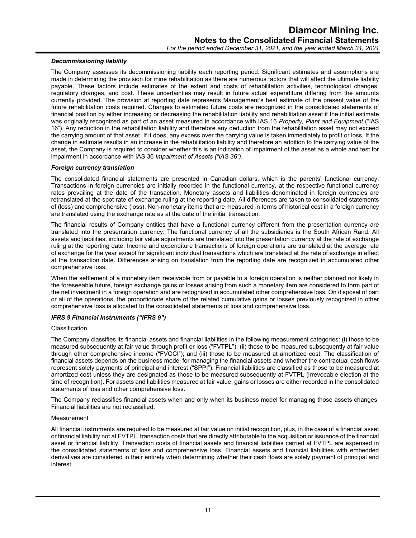#### *Decommissioning liability*

The Company assesses its decommissioning liability each reporting period. Significant estimates and assumptions are made in determining the provision for mine rehabilitation as there are numerous factors that will affect the ultimate liability payable. These factors include estimates of the extent and costs of rehabilitation activities, technological changes, regulatory changes, and cost. These uncertainties may result in future actual expenditure differing from the amounts currently provided. The provision at reporting date represents Management's best estimate of the present value of the future rehabilitation costs required. Changes to estimated future costs are recognized in the consolidated statements of financial position by either increasing or decreasing the rehabilitation liability and rehabilitation asset if the initial estimate was originally recognized as part of an asset measured in accordance with IAS 16 *Property, Plant and Equipment* ("IAS 16"). Any reduction in the rehabilitation liability and therefore any deduction from the rehabilitation asset may not exceed the carrying amount of that asset. If it does, any excess over the carrying value is taken immediately to profit or loss. If the change in estimate results in an increase in the rehabilitation liability and therefore an addition to the carrying value of the asset, the Company is required to consider whether this is an indication of impairment of the asset as a whole and test for impairment in accordance with IAS 36 *Impairment of Assets ("IAS 36")*.

#### *Foreign currency translation*

The consolidated financial statements are presented in Canadian dollars, which is the parents' functional currency. Transactions in foreign currencies are initially recorded in the functional currency, at the respective functional currency rates prevailing at the date of the transaction. Monetary assets and liabilities denominated in foreign currencies are retranslated at the spot rate of exchange ruling at the reporting date. All differences are taken to consolidated statements of (loss) and comprehensive (loss). Non-monetary items that are measured in terms of historical cost in a foreign currency are translated using the exchange rate as at the date of the initial transaction.

The financial results of Company entities that have a functional currency different from the presentation currency are translated into the presentation currency. The functional currency of all the subsidiaries is the South African Rand. All assets and liabilities, including fair value adjustments are translated into the presentation currency at the rate of exchange ruling at the reporting date. Income and expenditure transactions of foreign operations are translated at the average rate of exchange for the year except for significant individual transactions which are translated at the rate of exchange in effect at the transaction date. Differences arising on translation from the reporting date are recognized in accumulated other comprehensive loss.

When the settlement of a monetary item receivable from or payable to a foreign operation is neither planned nor likely in the foreseeable future, foreign exchange gains or losses arising from such a monetary item are considered to form part of the net investment in a foreign operation and are recognized in accumulated other comprehensive loss. On disposal of part or all of the operations, the proportionate share of the related cumulative gains or losses previously recognized in other comprehensive loss is allocated to the consolidated statements of loss and comprehensive loss.

#### *IFRS 9 Financial Instruments ("IFRS 9")*

#### Classification

The Company classifies its financial assets and financial liabilities in the following measurement categories: (i) those to be measured subsequently at fair value through profit or loss ("FVTPL"); (ii) those to be measured subsequently at fair value through other comprehensive income ("FVOCI"); and (iii) those to be measured at amortized cost. The classification of financial assets depends on the business model for managing the financial assets and whether the contractual cash flows represent solely payments of principal and interest ("SPPI"). Financial liabilities are classified as those to be measured at amortized cost unless they are designated as those to be measured subsequently at FVTPL (irrevocable election at the time of recognition). For assets and liabilities measured at fair value, gains or losses are either recorded in the consolidated statements of loss and other comprehensive loss.

The Company reclassifies financial assets when and only when its business model for managing those assets changes. Financial liabilities are not reclassified.

#### Measurement

All financial instruments are required to be measured at fair value on initial recognition, plus, in the case of a financial asset or financial liability not at FVTPL, transaction costs that are directly attributable to the acquisition or issuance of the financial asset or financial liability. Transaction costs of financial assets and financial liabilities carried at FVTPL are expensed in the consolidated statements of loss and comprehensive loss. Financial assets and financial liabilities with embedded derivatives are considered in their entirety when determining whether their cash flows are solely payment of principal and interest.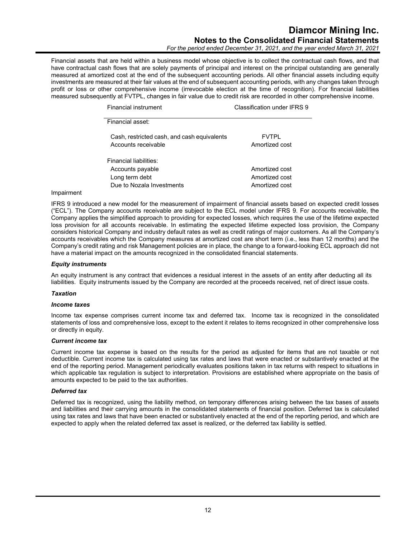*For the period ended December 31, 2021, and the year ended March 31, 2021*

Financial assets that are held within a business model whose objective is to collect the contractual cash flows, and that have contractual cash flows that are solely payments of principal and interest on the principal outstanding are generally measured at amortized cost at the end of the subsequent accounting periods. All other financial assets including equity investments are measured at their fair values at the end of subsequent accounting periods, with any changes taken through profit or loss or other comprehensive income (irrevocable election at the time of recognition). For financial liabilities measured subsequently at FVTPL, changes in fair value due to credit risk are recorded in other comprehensive income.

| Financial instrument                                               | Classification under IFRS 9    |
|--------------------------------------------------------------------|--------------------------------|
| Financial asset:                                                   |                                |
| Cash, restricted cash, and cash equivalents<br>Accounts receivable | <b>FVTPI</b><br>Amortized cost |
| Financial liabilities:                                             |                                |
| Accounts payable                                                   | Amortized cost                 |
| Long term debt                                                     | Amortized cost                 |
| Due to Nozala Investments                                          | Amortized cost                 |

#### Impairment

IFRS 9 introduced a new model for the measurement of impairment of financial assets based on expected credit losses ("ECL"). The Company accounts receivable are subject to the ECL model under IFRS 9. For accounts receivable, the Company applies the simplified approach to providing for expected losses, which requires the use of the lifetime expected loss provision for all accounts receivable. In estimating the expected lifetime expected loss provision, the Company considers historical Company and industry default rates as well as credit ratings of major customers. As all the Company's accounts receivables which the Company measures at amortized cost are short term (i.e., less than 12 months) and the Company's credit rating and risk Management policies are in place, the change to a forward-looking ECL approach did not have a material impact on the amounts recognized in the consolidated financial statements.

#### *Equity instruments*

An equity instrument is any contract that evidences a residual interest in the assets of an entity after deducting all its liabilities. Equity instruments issued by the Company are recorded at the proceeds received, net of direct issue costs.

#### *Taxation*

#### *Income taxes*

Income tax expense comprises current income tax and deferred tax. Income tax is recognized in the consolidated statements of loss and comprehensive loss, except to the extent it relates to items recognized in other comprehensive loss or directly in equity.

#### *Current income tax*

Current income tax expense is based on the results for the period as adjusted for items that are not taxable or not deductible. Current income tax is calculated using tax rates and laws that were enacted or substantively enacted at the end of the reporting period. Management periodically evaluates positions taken in tax returns with respect to situations in which applicable tax regulation is subject to interpretation. Provisions are established where appropriate on the basis of amounts expected to be paid to the tax authorities.

#### *Deferred tax*

Deferred tax is recognized, using the liability method, on temporary differences arising between the tax bases of assets and liabilities and their carrying amounts in the consolidated statements of financial position. Deferred tax is calculated using tax rates and laws that have been enacted or substantively enacted at the end of the reporting period, and which are expected to apply when the related deferred tax asset is realized, or the deferred tax liability is settled.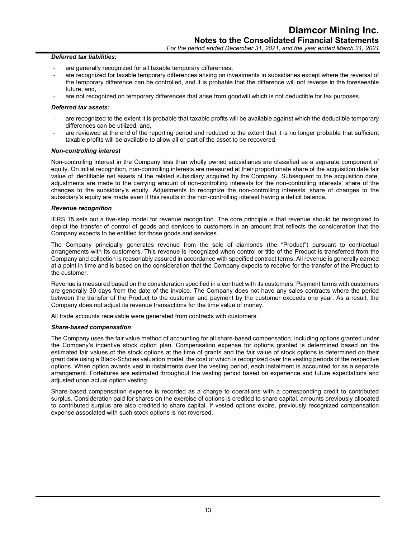#### *Deferred tax liabilities:*

- are generally recognized for all taxable temporary differences;
- are recognized for taxable temporary differences arising on investments in subsidiaries except where the reversal of the temporary difference can be controlled, and it is probable that the difference will not reverse in the foreseeable future; and,
- are not recognized on temporary differences that arise from goodwill which is not deductible for tax purposes.

#### *Deferred tax assets:*

- are recognized to the extent it is probable that taxable profits will be available against which the deductible temporary differences can be utilized; and,
- are reviewed at the end of the reporting period and reduced to the extent that it is no longer probable that sufficient taxable profits will be available to allow all or part of the asset to be recovered.

#### *Non-controlling interest*

Non-controlling interest in the Company less than wholly owned subsidiaries are classified as a separate component of equity. On initial recognition, non-controlling interests are measured at their proportionate share of the acquisition date fair value of identifiable net assets of the related subsidiary acquired by the Company. Subsequent to the acquisition date, adjustments are made to the carrying amount of non-controlling interests for the non-controlling interests' share of the changes to the subsidiary's equity. Adjustments to recognize the non-controlling interests' share of changes to the subsidiary's equity are made even if this results in the non-controlling interest having a deficit balance.

#### *Revenue recognition*

IFRS 15 sets out a five-step model for revenue recognition. The core principle is that revenue should be recognized to depict the transfer of control of goods and services to customers in an amount that reflects the consideration that the Company expects to be entitled for those goods and services.

The Company principally generates revenue from the sale of diamonds (the "Product") pursuant to contractual arrangements with its customers. This revenue is recognized when control or title of the Product is transferred from the Company and collection is reasonably assured in accordance with specified contract terms. All revenue is generally earned at a point in time and is based on the consideration that the Company expects to receive for the transfer of the Product to the customer.

Revenue is measured based on the consideration specified in a contract with its customers. Payment terms with customers are generally 30 days from the date of the invoice. The Company does not have any sales contracts where the period between the transfer of the Product to the customer and payment by the customer exceeds one year. As a result, the Company does not adjust its revenue transactions for the time value of money.

All trade accounts receivable were generated from contracts with customers.

#### *Share-based compensation*

The Company uses the fair value method of accounting for all share-based compensation, including options granted under the Company's incentive stock option plan. Compensation expense for options granted is determined based on the estimated fair values of the stock options at the time of grants and the fair value of stock options is determined on their grant date using a Black-Scholes valuation model, the cost of which is recognized over the vesting periods of the respective options. When option awards vest in instalments over the vesting period, each instalment is accounted for as a separate arrangement. Forfeitures are estimated throughout the vesting period based on experience and future expectations and adiusted upon actual option vesting.

Share-based compensation expense is recorded as a charge to operations with a corresponding credit to contributed surplus. Consideration paid for shares on the exercise of options is credited to share capital, amounts previously allocated to contributed surplus are also credited to share capital. If vested options expire, previously recognized compensation expense associated with such stock options is not reversed.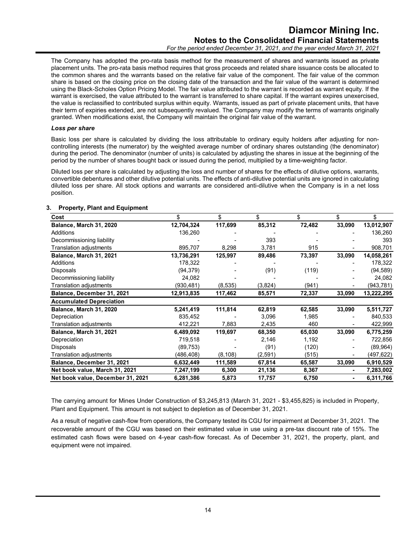The Company has adopted the pro-rata basis method for the measurement of shares and warrants issued as private placement units. The pro-rata basis method requires that gross proceeds and related share issuance costs be allocated to the common shares and the warrants based on the relative fair value of the component. The fair value of the common share is based on the closing price on the closing date of the transaction and the fair value of the warrant is determined using the Black-Scholes Option Pricing Model. The fair value attributed to the warrant is recorded as warrant equity. If the warrant is exercised, the value attributed to the warrant is transferred to share capital. If the warrant expires unexercised, the value is reclassified to contributed surplus within equity. Warrants, issued as part of private placement units, that have their term of expiries extended, are not subsequently revalued. The Company may modify the terms of warrants originally granted. When modifications exist, the Company will maintain the original fair value of the warrant.

#### *Loss per share*

Basic loss per share is calculated by dividing the loss attributable to ordinary equity holders after adjusting for noncontrolling interests (the numerator) by the weighted average number of ordinary shares outstanding (the denominator) during the period. The denominator (number of units) is calculated by adjusting the shares in issue at the beginning of the period by the number of shares bought back or issued during the period, multiplied by a time-weighting factor.

Diluted loss per share is calculated by adjusting the loss and number of shares for the effects of dilutive options, warrants, convertible debentures and other dilutive potential units. The effects of anti-dilutive potential units are ignored in calculating diluted loss per share. All stock options and warrants are considered anti-dilutive when the Company is in a net loss position.

| Cost                              | \$         | \$       | \$       | \$     | \$     | \$         |
|-----------------------------------|------------|----------|----------|--------|--------|------------|
| Balance, March 31, 2020           | 12,704,324 | 117,699  | 85,312   | 72,482 | 33,090 | 13,012,907 |
| <b>Additions</b>                  | 136,260    |          |          |        |        | 136,260    |
| Decommissioning liability         |            |          | 393      |        |        | 393        |
| <b>Translation adjustments</b>    | 895,707    | 8,298    | 3,781    | 915    |        | 908,701    |
| Balance, March 31, 2021           | 13,736,291 | 125,997  | 89,486   | 73,397 | 33,090 | 14,058,261 |
| Additions                         | 178,322    |          |          |        |        | 178,322    |
| Disposals                         | (94, 379)  |          | (91)     | (119)  |        | (94, 589)  |
| Decommissioning liability         | 24,082     |          |          |        |        | 24,082     |
| Translation adjustments           | (930,481)  | (8,535)  | (3,824)  | (941)  |        | (943,781)  |
| Balance, December 31, 2021        | 12,913,835 | 117,462  | 85,571   | 72,337 | 33,090 | 13,222,295 |
| <b>Accumulated Depreciation</b>   |            |          |          |        |        |            |
| Balance, March 31, 2020           | 5,241,419  | 111,814  | 62,819   | 62,585 | 33,090 | 5,511,727  |
| Depreciation                      | 835,452    |          | 3,096    | 1,985  |        | 840,533    |
| Translation adjustments           | 412,221    | 7,883    | 2,435    | 460    |        | 422,999    |
| Balance, March 31, 2021           | 6,489,092  | 119,697  | 68,350   | 65,030 | 33,090 | 6,775,259  |
| Depreciation                      | 719,518    |          | 2,146    | 1,192  |        | 722,856    |
| Disposals                         | (89, 753)  |          | (91)     | (120)  |        | (89,964)   |
| Translation adjustments           | (486,408)  | (8, 108) | (2, 591) | (515)  |        | (497,622)  |
| Balance, December 31, 2021        | 6,632,449  | 111,589  | 67,814   | 65,587 | 33,090 | 6,910,529  |
| Net book value, March 31, 2021    | 7,247,199  | 6,300    | 21,136   | 8,367  |        | 7,283,002  |
| Net book value, December 31, 2021 | 6,281,386  | 5,873    | 17,757   | 6,750  |        | 6,311,766  |

#### **3. Property, Plant and Equipment**

The carrying amount for Mines Under Construction of \$3,245,813 (March 31, 2021 - \$3,455,825) is included in Property, Plant and Equipment. This amount is not subject to depletion as of December 31, 2021.

As a result of negative cash-flow from operations, the Company tested its CGU for impairment at December 31, 2021. The recoverable amount of the CGU was based on their estimated value in use using a pre-tax discount rate of 15%. The estimated cash flows were based on 4-year cash-flow forecast. As of December 31, 2021, the property, plant, and equipment were not impaired.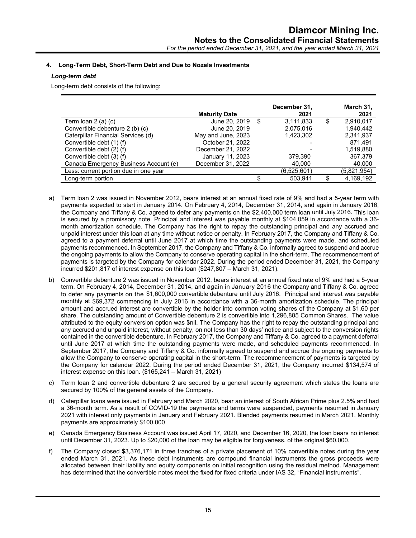#### **4. Long-Term Debt, Short-Term Debt and Due to Nozala Investments**

#### *Long-term debt*

Long-term debt consists of the following:

|                                       | <b>Maturity Date</b> |   | December 31,<br>2021 | March 31,<br>2021 |
|---------------------------------------|----------------------|---|----------------------|-------------------|
| Term loan $2$ (a) (c)                 | June 20, 2019        | S | 3,111,833            | \$<br>2,910,017   |
| Convertible debenture 2 (b) (c)       | June 20, 2019        |   | 2,075,016            | 1.940.442         |
| Caterpillar Financial Services (d)    | May and June, 2023   |   | 1,423,302            | 2,341,937         |
| Convertible debt (1) (f)              | October 21, 2022     |   |                      | 871.491           |
| Convertible debt (2) (f)              | December 21, 2022    |   |                      | 1.519.880         |
| Convertible debt (3) (f)              | January 11, 2023     |   | 379,390              | 367,379           |
| Canada Emergency Business Account (e) | December 31, 2022    |   | 40.000               | 40,000            |
| Less: current portion due in one year |                      |   | (6,525,601)          | (5,821,954)       |
| Long-term portion                     |                      |   | 503,941              | 4,169,192         |

- a) Term loan 2 was issued in November 2012, bears interest at an annual fixed rate of 9% and had a 5-year term with payments expected to start in January 2014. On February 4, 2014, December 31, 2014, and again in January 2016, the Company and Tiffany & Co. agreed to defer any payments on the \$2,400,000 term loan until July 2016. This loan is secured by a promissory note. Principal and interest was payable monthly at \$104,059 in accordance with a 36 month amortization schedule. The Company has the right to repay the outstanding principal and any accrued and unpaid interest under this loan at any time without notice or penalty. In February 2017, the Company and Tiffany & Co. agreed to a payment deferral until June 2017 at which time the outstanding payments were made, and scheduled payments recommenced. In September 2017, the Company and Tiffany & Co. informally agreed to suspend and accrue the ongoing payments to allow the Company to conserve operating capital in the short-term. The recommencement of payments is targeted by the Company for calendar 2022. During the period ended December 31, 2021, the Company incurred \$201,817 of interest expense on this loan (\$247,807 – March 31, 2021).
- b) Convertible debenture 2 was issued in November 2012, bears interest at an annual fixed rate of 9% and had a 5-year term. On February 4, 2014, December 31, 2014, and again in January 2016 the Company and Tiffany & Co. agreed to defer any payments on the \$1,600,000 convertible debenture until July 2016. Principal and interest was payable monthly at \$69,372 commencing in July 2016 in accordance with a 36-month amortization schedule. The principal amount and accrued interest are convertible by the holder into common voting shares of the Company at \$1.60 per share. The outstanding amount of Convertible debenture 2 is convertible into 1,296,885 Common Shares. The value attributed to the equity conversion option was \$nil. The Company has the right to repay the outstanding principal and any accrued and unpaid interest, without penalty, on not less than 30 days' notice and subject to the conversion rights contained in the convertible debenture. In February 2017, the Company and Tiffany & Co. agreed to a payment deferral until June 2017 at which time the outstanding payments were made, and scheduled payments recommenced. In September 2017, the Company and Tiffany & Co. informally agreed to suspend and accrue the ongoing payments to allow the Company to conserve operating capital in the short-term. The recommencement of payments is targeted by the Company for calendar 2022. During the period ended December 31, 2021, the Company incurred \$134,574 of interest expense on this loan. (\$165,241 – March 31, 2021)
- c) Term loan 2 and convertible debenture 2 are secured by a general security agreement which states the loans are secured by 100% of the general assets of the Company.
- d) Caterpillar loans were issued in February and March 2020, bear an interest of South African Prime plus 2.5% and had a 36-month term. As a result of COVID-19 the payments and terms were suspended, payments resumed in January 2021 with interest only payments in January and February 2021. Blended payments resumed in March 2021. Monthly payments are approximately \$100,000
- e) Canada Emergency Business Account was issued April 17, 2020, and December 16, 2020, the loan bears no interest until December 31, 2023. Up to \$20,000 of the loan may be eligible for forgiveness, of the original \$60,000.
- f) The Company closed \$3,376,171 in three tranches of a private placement of 10% convertible notes during the year ended March 31, 2021. As these debt instruments are compound financial instruments the gross proceeds were allocated between their liability and equity components on initial recognition using the residual method. Management has determined that the convertible notes meet the fixed for fixed criteria under IAS 32, "Financial instruments".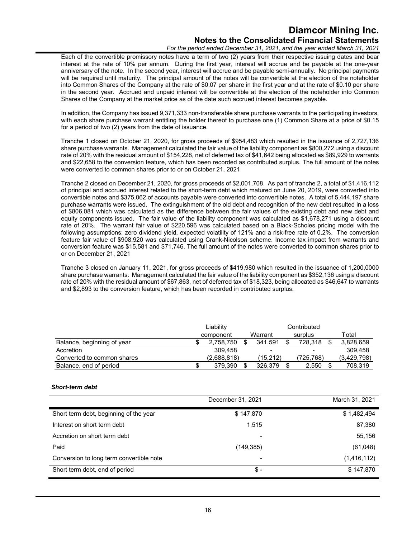*For the period ended December 31, 2021, and the year ended March 31, 2021*

Each of the convertible promissory notes have a term of two (2) years from their respective issuing dates and bear interest at the rate of 10% per annum. During the first year, interest will accrue and be payable at the one-year anniversary of the note. In the second year, interest will accrue and be payable semi-annually. No principal payments will be required until maturity. The principal amount of the notes will be convertible at the election of the noteholder into Common Shares of the Company at the rate of \$0.07 per share in the first year and at the rate of \$0.10 per share in the second year. Accrued and unpaid interest will be convertible at the election of the noteholder into Common Shares of the Company at the market price as of the date such accrued interest becomes payable.

In addition, the Company has issued 9,371,333 non-transferable share purchase warrants to the participating investors, with each share purchase warrant entitling the holder thereof to purchase one (1) Common Share at a price of \$0.15 for a period of two (2) years from the date of issuance.

Tranche 1 closed on October 21, 2020, for gross proceeds of \$954,483 which resulted in the issuance of 2,727,136 share purchase warrants. Management calculated the fair value of the liability component as \$800,272 using a discount rate of 20% with the residual amount of \$154,228, net of deferred tax of \$41,642 being allocated as \$89,929 to warrants and \$22,658 to the conversion feature, which has been recorded as contributed surplus. The full amount of the notes were converted to common shares prior to or on October 21, 2021

Tranche 2 closed on December 21, 2020, for gross proceeds of \$2,001,708. As part of tranche 2, a total of \$1,416,112 of principal and accrued interest related to the short-term debt which matured on June 20, 2019, were converted into convertible notes and \$375,062 of accounts payable were converted into convertible notes. A total of 5,444,197 share purchase warrants were issued. The extinguishment of the old debt and recognition of the new debt resulted in a loss of \$806,081 which was calculated as the difference between the fair values of the existing debt and new debt and equity components issued. The fair value of the liability component was calculated as \$1,678,271 using a discount rate of 20%. The warrant fair value of \$220,596 was calculated based on a Black-Scholes pricing model with the following assumptions: zero dividend yield, expected volatility of 121% and a risk-free rate of 0.2%. The conversion feature fair value of \$908,920 was calculated using Crank-Nicolson scheme. Income tax impact from warrants and conversion feature was \$15,581 and \$71,746. The full amount of the notes were converted to common shares prior to or on December 21, 2021

Tranche 3 closed on January 11, 2021, for gross proceeds of \$419,980 which resulted in the issuance of 1,200,0000 share purchase warrants. Management calculated the fair value of the liability component as \$352,136 using a discount rate of 20% with the residual amount of \$67,863, net of deferred tax of \$18,323, being allocated as \$46,647 to warrants and \$2,893 to the conversion feature, which has been recorded in contributed surplus.

|                            | Liability   |                          | Contributed |               |
|----------------------------|-------------|--------------------------|-------------|---------------|
|                            | component   | Warrant                  | surplus     | Total         |
| Balance, beginning of year | 2.758.750   | 341.591                  | 728.318     | 3,828,659     |
| Accretion                  | 309.458     | $\overline{\phantom{0}}$ | $\,$        | 309.458       |
| Converted to common shares | (2.688.818) | (15.212)                 | (725,768)   | (3,429,798)   |
| Balance, end of period     | 379.390     | 326.379                  | 2.550       | \$<br>708,319 |

#### *Short-term debt*

|                                          | December 31, 2021        | March 31, 2021 |
|------------------------------------------|--------------------------|----------------|
| Short term debt, beginning of the year   | \$147,870                | \$1,482,494    |
| Interest on short term debt              | 1,515                    | 87,380         |
| Accretion on short term debt             |                          | 55,156         |
| Paid                                     | (149, 385)               | (61,048)       |
| Conversion to long term convertible note | $\overline{\phantom{0}}$ | (1,416,112)    |
| Short term debt, end of period           | \$-                      | \$147,870      |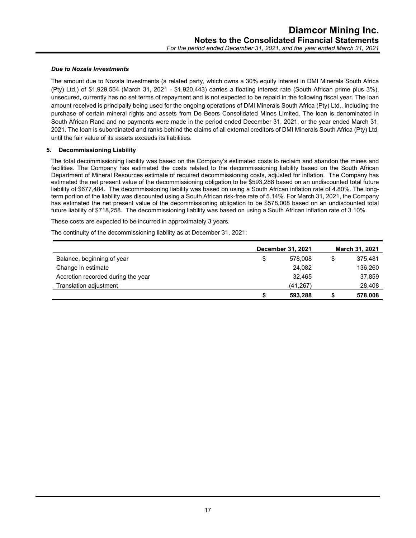#### *Due to Nozala Investments*

The amount due to Nozala Investments (a related party, which owns a 30% equity interest in DMI Minerals South Africa (Pty) Ltd.) of \$1,929,564 (March 31, 2021 - \$1,920,443) carries a floating interest rate (South African prime plus 3%), unsecured, currently has no set terms of repayment and is not expected to be repaid in the following fiscal year. The loan amount received is principally being used for the ongoing operations of DMI Minerals South Africa (Pty) Ltd., including the purchase of certain mineral rights and assets from De Beers Consolidated Mines Limited. The loan is denominated in South African Rand and no payments were made in the period ended December 31, 2021, or the year ended March 31, 2021. The loan is subordinated and ranks behind the claims of all external creditors of DMI Minerals South Africa (Pty) Ltd, until the fair value of its assets exceeds its liabilities.

#### **5. Decommissioning Liability**

The total decommissioning liability was based on the Company's estimated costs to reclaim and abandon the mines and facilities. The Company has estimated the costs related to the decommissioning liability based on the South African Department of Mineral Resources estimate of required decommissioning costs, adjusted for inflation. The Company has estimated the net present value of the decommissioning obligation to be \$593,288 based on an undiscounted total future liability of \$677,484. The decommissioning liability was based on using a South African inflation rate of 4.80%. The longterm portion of the liability was discounted using a South African risk-free rate of 5.14%. For March 31, 2021, the Company has estimated the net present value of the decommissioning obligation to be \$578,008 based on an undiscounted total future liability of \$718,258. The decommissioning liability was based on using a South African inflation rate of 3.10%.

These costs are expected to be incurred in approximately 3 years.

The continuity of the decommissioning liability as at December 31, 2021:

|                                    |    | December 31, 2021 |   | <b>March 31, 2021</b> |
|------------------------------------|----|-------------------|---|-----------------------|
| Balance, beginning of year         | \$ | 578.008           | S | 375.481               |
| Change in estimate                 |    | 24,082            |   | 136,260               |
| Accretion recorded during the year |    | 32.465            |   | 37,859                |
| <b>Translation adjustment</b>      |    | (41, 267)         |   | 28,408                |
|                                    | S  | 593,288           |   | 578,008               |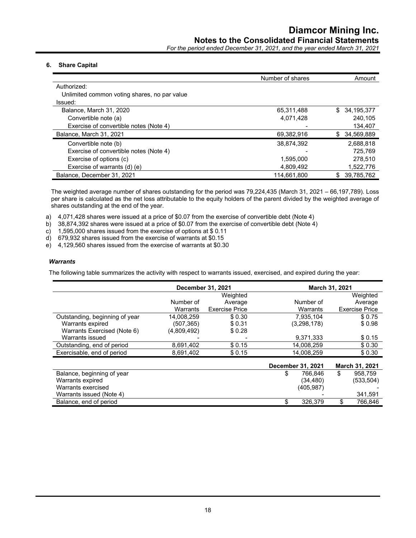*For the period ended December 31, 2021, and the year ended March 31, 2021*

#### **6. Share Capital**

|                                              | Number of shares | Amount            |
|----------------------------------------------|------------------|-------------------|
| Authorized:                                  |                  |                   |
| Unlimited common voting shares, no par value |                  |                   |
| Issued:                                      |                  |                   |
| Balance, March 31, 2020                      | 65,311,488       | 34,195,377<br>\$. |
| Convertible note (a)                         | 4,071,428        | 240.105           |
| Exercise of convertible notes (Note 4)       |                  | 134,407           |
| Balance, March 31, 2021                      | 69,382,916       | \$ 34,569,889     |
| Convertible note (b)                         | 38,874,392       | 2,688,818         |
| Exercise of convertible notes (Note 4)       |                  | 725.769           |
| Exercise of options (c)                      | 1.595.000        | 278,510           |
| Exercise of warrants (d) (e)                 | 4,809,492        | 1,522,776         |
| Balance, December 31, 2021                   | 114,661,800      | 39,785,762        |

The weighted average number of shares outstanding for the period was 79,224,435 (March 31, 2021 – 66,197,789). Loss per share is calculated as the net loss attributable to the equity holders of the parent divided by the weighted average of shares outstanding at the end of the year.

- a) 4,071,428 shares were issued at a price of \$0.07 from the exercise of convertible debt (Note 4)
- b) 38,874,392 shares were issued at a price of \$0.07 from the exercise of convertible debt (Note 4)
- c) 1,595,000 shares issued from the exercise of options at \$ 0.11
- d) 679,932 shares issued from the exercise of warrants at \$0.15
- e) 4,129,560 shares issued from the exercise of warrants at \$0.30

#### *Warrants*

The following table summarizes the activity with respect to warrants issued, exercised, and expired during the year:

|                                |             | December 31, 2021     |                   | March 31, 2021        |
|--------------------------------|-------------|-----------------------|-------------------|-----------------------|
|                                |             | Weighted              |                   | Weighted              |
|                                | Number of   | Average               | Number of         | Average               |
|                                | Warrants    | <b>Exercise Price</b> | Warrants          | <b>Exercise Price</b> |
| Outstanding, beginning of year | 14,008,259  | \$0.30                | 7.935.104         | \$0.75                |
| Warrants expired               | (507,365)   | \$0.31                | (3,298,178)       | \$0.98                |
| Warrants Exercised (Note 6)    | (4,809,492) | \$0.28                |                   |                       |
| Warrants issued                |             |                       | 9,371,333         | \$0.15                |
| Outstanding, end of period     | 8,691,402   | \$0.15                | 14.008.259        | \$0.30                |
| Exercisable, end of period     | 8,691,402   | \$0.15                | 14,008,259        | \$0.30                |
|                                |             |                       | December 31, 2021 | March 31, 2021        |
| Balance, beginning of year     |             |                       | 766.846<br>\$     | \$<br>958.759         |
| Warrants expired               |             |                       | (34, 480)         | (533,504)             |
| Warrants exercised             |             |                       | (405,987)         |                       |
| Warrants issued (Note 4)       |             |                       |                   | 341,591               |
| Balance, end of period         |             |                       | 326,379           | \$<br>766.846         |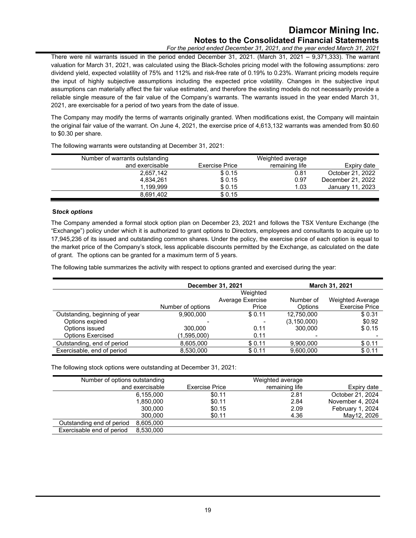*For the period ended December 31, 2021, and the year ended March 31, 2021*

There were nil warrants issued in the period ended December 31, 2021. (March 31, 2021 – 9,371,333). The warrant valuation for March 31, 2021, was calculated using the Black-Scholes pricing model with the following assumptions: zero dividend yield, expected volatility of 75% and 112% and risk-free rate of 0.19% to 0.23%. Warrant pricing models require the input of highly subjective assumptions including the expected price volatility. Changes in the subjective input assumptions can materially affect the fair value estimated, and therefore the existing models do not necessarily provide a reliable single measure of the fair value of the Company's warrants. The warrants issued in the year ended March 31, 2021, are exercisable for a period of two years from the date of issue.

The Company may modify the terms of warrants originally granted. When modifications exist, the Company will maintain the original fair value of the warrant. On June 4, 2021, the exercise price of 4,613,132 warrants was amended from \$0.60 to \$0.30 per share.

| Number of warrants outstanding |                       | Weighted average |                   |
|--------------------------------|-----------------------|------------------|-------------------|
| and exercisable                | <b>Exercise Price</b> | remaining life   | Expiry date       |
| 2,657,142                      | \$0.15                | 0.81             | October 21, 2022  |
| 4,834,261                      | \$0.15                | 0.97             | December 21, 2022 |
| 1.199.999                      | \$0.15                | 1.03             | January 11, 2023  |
| 8,691,402                      | \$0.15                |                  |                   |

The following warrants were outstanding at December 31, 2021:

#### **S***tock options*

The Company amended a formal stock option plan on December 23, 2021 and follows the TSX Venture Exchange (the "Exchange") policy under which it is authorized to grant options to Directors, employees and consultants to acquire up to 17,945,236 of its issued and outstanding common shares. Under the policy, the exercise price of each option is equal to the market price of the Company's stock, less applicable discounts permitted by the Exchange, as calculated on the date of grant. The options can be granted for a maximum term of 5 years.

The following table summarizes the activity with respect to options granted and exercised during the year:

|                                | December 31, 2021 |                  |               | <b>March 31, 2021</b>   |
|--------------------------------|-------------------|------------------|---------------|-------------------------|
|                                |                   | Weighted         |               |                         |
|                                |                   | Average Exercise | Number of     | <b>Weighted Average</b> |
|                                | Number of options | Price            | Options       | <b>Exercise Price</b>   |
| Outstanding, beginning of year | 9,900,000         | \$0.11           | 12,750,000    | \$0.31                  |
| Options expired                |                   |                  | (3, 150, 000) | \$0.92                  |
| Options issued                 | 300,000           | 0.11             | 300.000       | \$0.15                  |
| <b>Options Exercised</b>       | (1,595,000)       | 0.11             |               |                         |
| Outstanding, end of period     | 8,605,000         | \$0.11           | 9,900,000     | \$0.11                  |
| Exercisable, end of period     | 8,530,000         | \$0.11           | 9,600,000     | \$0.11                  |

The following stock options were outstanding at December 31, 2021:

| Number of options outstanding          |                | Weighted average |                  |
|----------------------------------------|----------------|------------------|------------------|
| and exercisable                        | Exercise Price | remaining life   | Expiry date      |
| 6,155,000                              | \$0.11         | 2.81             | October 21, 2024 |
| 1.850.000                              | \$0.11         | 2.84             | November 4, 2024 |
| 300.000                                | \$0.15         | 2.09             | February 1, 2024 |
| 300.000                                | \$0.11         | 4.36             | May12, 2026      |
| 8,605,000<br>Outstanding end of period |                |                  |                  |
| Exercisable end of period<br>8.530.000 |                |                  |                  |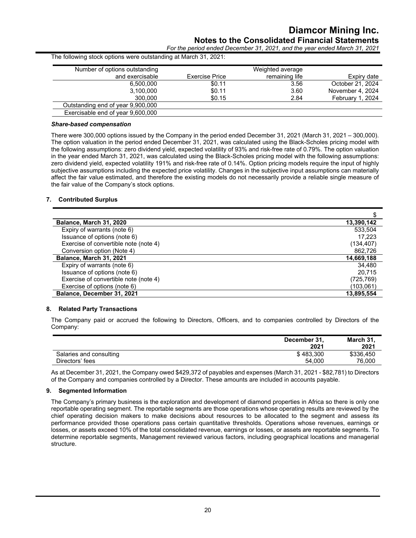*For the period ended December 31, 2021, and the year ended March 31, 2021*

| The following stock options were outstanding at March 31, 2021: |                       |                  |                  |
|-----------------------------------------------------------------|-----------------------|------------------|------------------|
| Number of options outstanding                                   |                       | Weighted average |                  |
| and exercisable                                                 | <b>Exercise Price</b> | remaining life   | Expiry date      |
| 6.500.000                                                       | \$0.11                | 3.56             | October 21, 2024 |
| 3,100,000                                                       | \$0.11                | 3.60             | November 4, 2024 |
| 300,000                                                         | \$0.15                | 2.84             | February 1, 2024 |
| Outstanding end of year 9,900,000                               |                       |                  |                  |
| Exercisable end of year 9,600,000                               |                       |                  |                  |

#### *Share-based compensation*

There were 300,000 options issued by the Company in the period ended December 31, 2021 (March 31, 2021 – 300,000). The option valuation in the period ended December 31, 2021, was calculated using the Black-Scholes pricing model with the following assumptions: zero dividend yield, expected volatility of 93% and risk-free rate of 0.79%. The option valuation in the year ended March 31, 2021, was calculated using the Black-Scholes pricing model with the following assumptions: zero dividend yield, expected volatility 191% and risk-free rate of 0.14%. Option pricing models require the input of highly subjective assumptions including the expected price volatility. Changes in the subjective input assumptions can materially affect the fair value estimated, and therefore the existing models do not necessarily provide a reliable single measure of the fair value of the Company's stock options.

#### **7. Contributed Surplus**

| Balance, March 31, 2020               | 13,390,142 |
|---------------------------------------|------------|
| Expiry of warrants (note 6)           | 533,504    |
| Issuance of options (note 6)          | 17.223     |
| Exercise of convertible note (note 4) | (134, 407) |
| Conversion option (Note 4)            | 862,726    |
| Balance, March 31, 2021               | 14,669,188 |
| Expiry of warrants (note 6)           | 34.480     |
| Issuance of options (note 6)          | 20.715     |
| Exercise of convertible note (note 4) | (725,769)  |
| Exercise of options (note 6)          | (103,061)  |
| Balance, December 31, 2021            | 13,895,554 |

#### **8. Related Party Transactions**

The Company paid or accrued the following to Directors, Officers, and to companies controlled by Directors of the Company:

|                         | December 31,<br>2021 | March 31,<br>2021 |
|-------------------------|----------------------|-------------------|
| Salaries and consulting | \$483.300            | \$336.450         |
| Directors' fees         | 54.000               | 76,000            |

As at December 31, 2021, the Company owed \$429,372 of payables and expenses (March 31, 2021 - \$82,781) to Directors of the Company and companies controlled by a Director. These amounts are included in accounts payable.

#### **9. Segmented Information**

The Company's primary business is the exploration and development of diamond properties in Africa so there is only one reportable operating segment. The reportable segments are those operations whose operating results are reviewed by the chief operating decision makers to make decisions about resources to be allocated to the segment and assess its performance provided those operations pass certain quantitative thresholds. Operations whose revenues, earnings or losses, or assets exceed 10% of the total consolidated revenue, earnings or losses, or assets are reportable segments. To determine reportable segments, Management reviewed various factors, including geographical locations and managerial structure.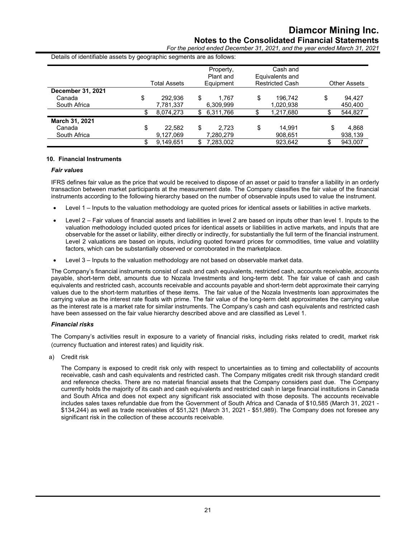*For the period ended December 31, 2021, and the year ended March 31, 2021*

Details of identifiable assets by geographic segments are as follows:

|                   |    | Total Assets | Property,<br>Plant and<br>Equipment | Cash and<br>Equivalents and<br><b>Restricted Cash</b> | <b>Other Assets</b> |
|-------------------|----|--------------|-------------------------------------|-------------------------------------------------------|---------------------|
| December 31, 2021 |    |              |                                     |                                                       |                     |
| Canada            | \$ | 292.936      | \$<br>1.767                         | \$<br>196.742                                         | \$<br>94.427        |
| South Africa      |    | 7,781,337    | 6,309,999                           | 1,020,938                                             | 450,400             |
|                   | S  | 8,074,273    | \$<br>6,311,766                     | \$<br>1,217,680                                       | 544,827             |
| March 31, 2021    |    |              |                                     |                                                       |                     |
| Canada            | \$ | 22,582       | \$<br>2.723                         | \$<br>14.991                                          | \$<br>4,868         |
| South Africa      |    | 9,127,069    | 7,280,279                           | 908,651                                               | 938,139             |
|                   | \$ | 9.149.651    | \$<br>7.283.002                     | 923.642                                               | 943.007             |

#### **10. Financial Instruments**

#### *Fair values*

IFRS defines fair value as the price that would be received to dispose of an asset or paid to transfer a liability in an orderly transaction between market participants at the measurement date. The Company classifies the fair value of the financial instruments according to the following hierarchy based on the number of observable inputs used to value the instrument.

- Level 1 Inputs to the valuation methodology are quoted prices for identical assets or liabilities in active markets.
- Level 2 Fair values of financial assets and liabilities in level 2 are based on inputs other than level 1. Inputs to the valuation methodology included quoted prices for identical assets or liabilities in active markets, and inputs that are observable for the asset or liability, either directly or indirectly, for substantially the full term of the financial instrument. Level 2 valuations are based on inputs, including quoted forward prices for commodities, time value and volatility factors, which can be substantially observed or corroborated in the marketplace.
- Level 3 Inputs to the valuation methodology are not based on observable market data.

The Company's financial instruments consist of cash and cash equivalents, restricted cash, accounts receivable, accounts payable, short-term debt, amounts due to Nozala Investments and long-term debt. The fair value of cash and cash equivalents and restricted cash, accounts receivable and accounts payable and short-term debt approximate their carrying values due to the short-term maturities of these items. The fair value of the Nozala Investments loan approximates the carrying value as the interest rate floats with prime. The fair value of the long-term debt approximates the carrying value as the interest rate is a market rate for similar instruments. The Company's cash and cash equivalents and restricted cash have been assessed on the fair value hierarchy described above and are classified as Level 1.

#### *Financial risks*

The Company's activities result in exposure to a variety of financial risks, including risks related to credit, market risk (currency fluctuation and interest rates) and liquidity risk.

a) Credit risk

The Company is exposed to credit risk only with respect to uncertainties as to timing and collectability of accounts receivable, cash and cash equivalents and restricted cash. The Company mitigates credit risk through standard credit and reference checks. There are no material financial assets that the Company considers past due. The Company currently holds the majority of its cash and cash equivalents and restricted cash in large financial institutions in Canada and South Africa and does not expect any significant risk associated with those deposits. The accounts receivable includes sales taxes refundable due from the Government of South Africa and Canada of \$10,585 (March 31, 2021 - \$134,244) as well as trade receivables of \$51,321 (March 31, 2021 - \$51,989). The Company does not foresee any significant risk in the collection of these accounts receivable.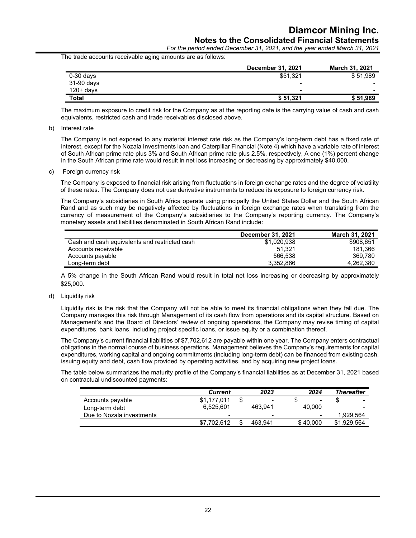*For the period ended December 31, 2021, and the year ended March 31, 2021*

The trade accounts receivable aging amounts are as follows:

|              | <b>December 31, 2021</b> | <b>March 31, 2021</b>    |
|--------------|--------------------------|--------------------------|
| $0-30$ days  | \$51,321                 | \$51,989                 |
| 31-90 days   | $\blacksquare$           | $\overline{\phantom{0}}$ |
| $120 + days$ | $\,$                     | $\overline{\phantom{0}}$ |
| Total        | \$51,321                 | \$51,989                 |

The maximum exposure to credit risk for the Company as at the reporting date is the carrying value of cash and cash equivalents, restricted cash and trade receivables disclosed above.

b) Interest rate

The Company is not exposed to any material interest rate risk as the Company's long-term debt has a fixed rate of interest, except for the Nozala Investments loan and Caterpillar Financial (Note 4) which have a variable rate of interest of South African prime rate plus 3% and South African prime rate plus 2.5%, respectively, A one (1%) percent change in the South African prime rate would result in net loss increasing or decreasing by approximately \$40,000.

c) Foreign currency risk

The Company is exposed to financial risk arising from fluctuations in foreign exchange rates and the degree of volatility of these rates. The Company does not use derivative instruments to reduce its exposure to foreign currency risk.

The Company's subsidiaries in South Africa operate using principally the United States Dollar and the South African Rand and as such may be negatively affected by fluctuations in foreign exchange rates when translating from the currency of measurement of the Company's subsidiaries to the Company's reporting currency. The Company's monetary assets and liabilities denominated in South African Rand include:

|                                               | December 31, 2021 | <b>March 31, 2021</b> |
|-----------------------------------------------|-------------------|-----------------------|
| Cash and cash equivalents and restricted cash | \$1.020.938       | \$908.651             |
| Accounts receivable                           | 51.321            | 181.366               |
| Accounts payable                              | 566.538           | 369.780               |
| Long-term debt                                | 3.352.866         | 4.262.380             |

A 5% change in the South African Rand would result in total net loss increasing or decreasing by approximately \$25,000.

d) Liquidity risk

Liquidity risk is the risk that the Company will not be able to meet its financial obligations when they fall due. The Company manages this risk through Management of its cash flow from operations and its capital structure. Based on Management's and the Board of Directors' review of ongoing operations, the Company may revise timing of capital expenditures, bank loans, including project specific loans, or issue equity or a combination thereof.

The Company's current financial liabilities of \$7,702,612 are payable within one year. The Company enters contractual obligations in the normal course of business operations. Management believes the Company's requirements for capital expenditures, working capital and ongoing commitments (including long-term debt) can be financed from existing cash, issuing equity and debt, cash flow provided by operating activities, and by acquiring new project loans.

The table below summarizes the maturity profile of the Company's financial liabilities as at December 31, 2021 based on contractual undiscounted payments:

|                           | <b>Current</b> | 2023                     | 2024     | <b>Thereafter</b> |
|---------------------------|----------------|--------------------------|----------|-------------------|
| Accounts payable          | \$1.177.011    | $\overline{\phantom{0}}$ | $\,$     | -                 |
| Long-term debt            | 6.525.601      | 463.941                  | 40.000   |                   |
| Due to Nozala investments | $\sim$         | $\sim$                   |          | 1.929.564         |
|                           | \$7.702.612    | 463.941                  | \$40.000 | \$1.929.564       |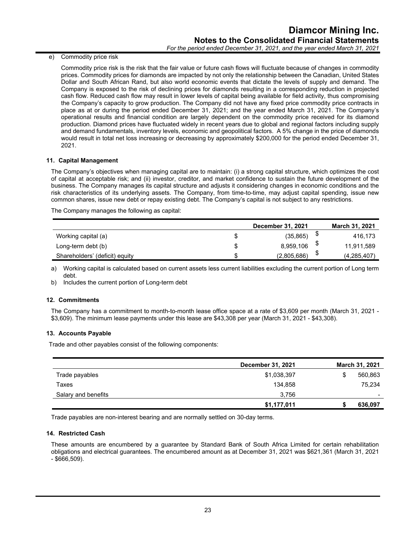e) Commodity price risk

Commodity price risk is the risk that the fair value or future cash flows will fluctuate because of changes in commodity prices. Commodity prices for diamonds are impacted by not only the relationship between the Canadian, United States Dollar and South African Rand, but also world economic events that dictate the levels of supply and demand. The Company is exposed to the risk of declining prices for diamonds resulting in a corresponding reduction in projected cash flow. Reduced cash flow may result in lower levels of capital being available for field activity, thus compromising the Company's capacity to grow production. The Company did not have any fixed price commodity price contracts in place as at or during the period ended December 31, 2021; and the year ended March 31, 2021. The Company's operational results and financial condition are largely dependent on the commodity price received for its diamond production. Diamond prices have fluctuated widely in recent years due to global and regional factors including supply and demand fundamentals, inventory levels, economic and geopolitical factors. A 5% change in the price of diamonds would result in total net loss increasing or decreasing by approximately \$200,000 for the period ended December 31, 2021.

#### **11. Capital Management**

The Company's objectives when managing capital are to maintain: (i) a strong capital structure, which optimizes the cost of capital at acceptable risk; and (ii) investor, creditor, and market confidence to sustain the future development of the business. The Company manages its capital structure and adjusts it considering changes in economic conditions and the risk characteristics of its underlying assets. The Company, from time-to-time, may adjust capital spending, issue new common shares, issue new debt or repay existing debt. The Company's capital is not subject to any restrictions.

The Company manages the following as capital:

|                                | December 31, 2021 | <b>March 31, 2021</b> |
|--------------------------------|-------------------|-----------------------|
| Working capital (a)            | (35, 865)         | 416,173               |
| Long-term debt (b)             | 8,959,106         | 11,911,589            |
| Shareholders' (deficit) equity | (2,805,686)       | (4, 285, 407)         |

a) Working capital is calculated based on current assets less current liabilities excluding the current portion of Long term debt.

b) Includes the current portion of Long-term debt

#### **12. Commitments**

The Company has a commitment to month-to-month lease office space at a rate of \$3,609 per month (March 31, 2021 - \$3,609). The minimum lease payments under this lease are \$43,308 per year (March 31, 2021 - \$43,308).

#### **13. Accounts Payable**

Trade and other payables consist of the following components:

|                     | December 31, 2021 | March 31, 2021 |
|---------------------|-------------------|----------------|
| Trade payables      | \$1,038,397       | 560,863        |
| Taxes               | 134,858           | 75,234         |
| Salary and benefits | 3,756             | -              |
|                     | \$1,177,011       | 636,097        |

Trade payables are non-interest bearing and are normally settled on 30-day terms.

#### **14. Restricted Cash**

These amounts are encumbered by a guarantee by Standard Bank of South Africa Limited for certain rehabilitation obligations and electrical guarantees. The encumbered amount as at December 31, 2021 was \$621,361 (March 31, 2021 - \$666,509).